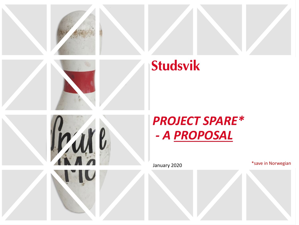

# **Studsvik**





January 2020 **Marson Communist Communist Communist Communist Communist Communist Communist Communist Communist Communist Communist Communist Communist Communist Communist Communist Communist Communist Communist Communist C**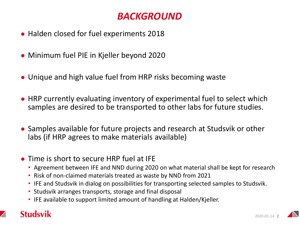### *BACKGROUND*

- Halden closed for fuel experiments 2018
- Minimum fuel PIE in Kjeller beyond 2020
- Unique and high value fuel from HRP risks becoming waste
- HRP currently evaluating inventory of experimental fuel to select which samples are desired to be transported to other labs for future studies.
- Samples available for future projects and research at Studsvik or other labs (if HRP agrees to make materials available)
- Time is short to secure HRP fuel at IFE
	- Agreement between IFE and NND during 2020 on what material shall be kept for research
	- Risk of non-claimed materials treated as waste by NND from 2021
	- IFE and Studsvik in dialog on possibilities for transporting selected samples to Studsvik.
	- Studsvik arranges transports, storage and final disposal
	- IFE available to support limited amount of handling at Halden/Kjeller.

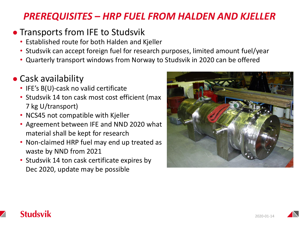### *PREREQUISITES – HRP FUEL FROM HALDEN AND KJELLER*

### • Transports from IFE to Studsvik

- Established route for both Halden and Kjeller
- Studsvik can accept foreign fuel for research purposes, limited amount fuel/year
- Quarterly transport windows from Norway to Studsvik in 2020 can be offered

# ● Cask availability

- IFE's B(U)-cask no valid certificate
- Studsvik 14 ton cask most cost efficient (max 7 kg U/transport)
- NCS45 not compatible with Kjeller
- Agreement between IFE and NND 2020 what material shall be kept for research
- Non-claimed HRP fuel may end up treated as waste by NND from 2021
- Studsvik 14 ton cask certificate expires by Dec 2020, update may be possible



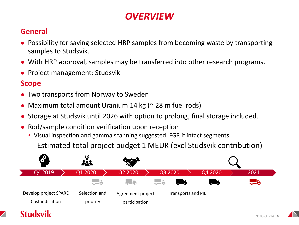# *OVERVIEW*

#### **General**

- Possibility for saving selected HRP samples from becoming waste by transporting samples to Studsvik.
- With HRP approval, samples may be transferred into other research programs.
- Project management: Studsvik

#### **Scope**

- Two transports from Norway to Sweden
- Maximum total amount Uranium 14 kg ( $\approx$  28 m fuel rods)
- Storage at Studsvik until 2026 with option to prolong, final storage included.
- Rod/sample condition verification upon reception
	- Visual inspection and gamma scanning suggested. FGR if intact segments.

Estimated total project budget 1 MEUR (excl Studsvik contribution)



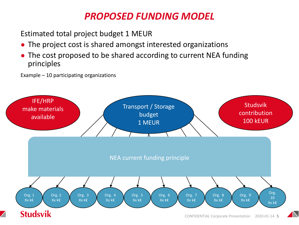# *PROPOSED FUNDING MODEL*

Estimated total project budget 1 MEUR

- The project cost is shared amongst interested organizations
- The cost proposed to be shared according to current NEA funding principles

Example – 10 participating organizations

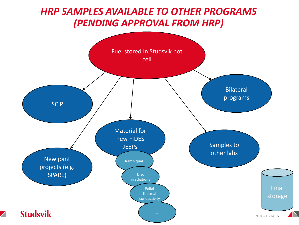### *HRP SAMPLES AVAILABLE TO OTHER PROGRAMS (PENDING APPROVAL FROM HRP)*



 $\angle$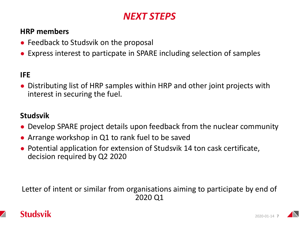### *NEXT STEPS*

#### **HRP members**

- Feedback to Studsvik on the proposal
- Express interest to particpate in SPARE including selection of samples

#### **IFE**

Distributing list of HRP samples within HRP and other joint projects with interest in securing the fuel.

#### **Studsvik**

- Develop SPARE project details upon feedback from the nuclear community
- Arrange workshop in Q1 to rank fuel to be saved
- Potential application for extension of Studsvik 14 ton cask certificate, decision required by Q2 2020

Letter of intent or similar from organisations aiming to participate by end of 2020 Q1

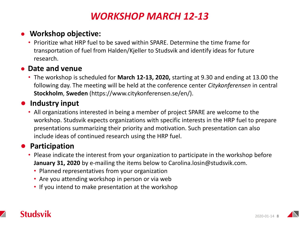### *WORKSHOP MARCH 12-13*

#### ● **Workshop objective:**

• Prioritize what HRP fuel to be saved within SPARE. Determine the time frame for transportation of fuel from Halden/Kjeller to Studsvik and identify ideas for future research.

#### ● **Date and venue**

• The workshop is scheduled for **March 12-13, 2020,** starting at 9.30 and ending at 13.00 the following day. The meeting will be held at the conference center *Citykonferensen* in central **Stockholm**, **Sweden** (https://www.citykonferensen.se/en/).

#### ● **Industry input**

• All organizations interested in being a member of project SPARE are welcome to the workshop. Studsvik expects organizations with specific interests in the HRP fuel to prepare presentations summarizing their priority and motivation. Such presentation can also include ideas of continued research using the HRP fuel.

#### ● **Participation**

- Please indicate the interest from your organization to participate in the workshop before **January 31, 2020** by e-mailing the items below to Carolina.losin@studsvik.com.
	- Planned representatives from your organization
	- Are you attending workshop in person or via web
	- If you intend to make presentation at the workshop